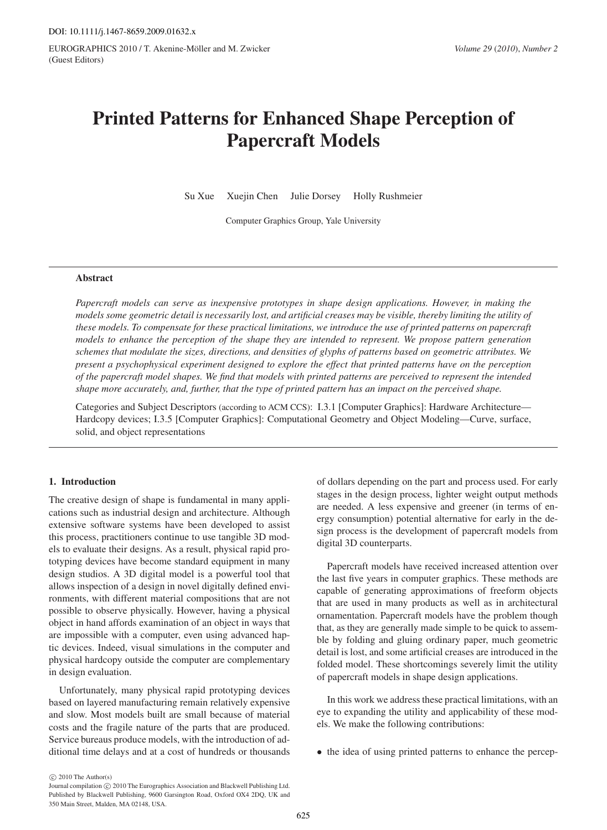EUROGRAPHICS 2010 / T. Akenine-Möller and M. Zwicker (Guest Editors)

# **Printed Patterns for Enhanced Shape Perception of Papercraft Models**

Su Xue Xuejin Chen Julie Dorsey Holly Rushmeier

Computer Graphics Group, Yale University

#### **Abstract**

*Papercraft models can serve as inexpensive prototypes in shape design applications. However, in making the models some geometric detail is necessarily lost, and artificial creases may be visible, thereby limiting the utility of these models. To compensate for these practical limitations, we introduce the use of printed patterns on papercraft models to enhance the perception of the shape they are intended to represent. We propose pattern generation schemes that modulate the sizes, directions, and densities of glyphs of patterns based on geometric attributes. We present a psychophysical experiment designed to explore the effect that printed patterns have on the perception of the papercraft model shapes. We find that models with printed patterns are perceived to represent the intended shape more accurately, and, further, that the type of printed pattern has an impact on the perceived shape.*

Categories and Subject Descriptors (according to ACM CCS): I.3.1 [Computer Graphics]: Hardware Architecture— Hardcopy devices; I.3.5 [Computer Graphics]: Computational Geometry and Object Modeling—Curve, surface, solid, and object representations

# **1. Introduction**

The creative design of shape is fundamental in many applications such as industrial design and architecture. Although extensive software systems have been developed to assist this process, practitioners continue to use tangible 3D models to evaluate their designs. As a result, physical rapid prototyping devices have become standard equipment in many design studios. A 3D digital model is a powerful tool that allows inspection of a design in novel digitally defined environments, with different material compositions that are not possible to observe physically. However, having a physical object in hand affords examination of an object in ways that are impossible with a computer, even using advanced haptic devices. Indeed, visual simulations in the computer and physical hardcopy outside the computer are complementary in design evaluation.

Unfortunately, many physical rapid prototyping devices based on layered manufacturing remain relatively expensive and slow. Most models built are small because of material costs and the fragile nature of the parts that are produced. Service bureaus produce models, with the introduction of additional time delays and at a cost of hundreds or thousands of dollars depending on the part and process used. For early stages in the design process, lighter weight output methods are needed. A less expensive and greener (in terms of energy consumption) potential alternative for early in the design process is the development of papercraft models from digital 3D counterparts.

Papercraft models have received increased attention over the last five years in computer graphics. These methods are capable of generating approximations of freeform objects that are used in many products as well as in architectural ornamentation. Papercraft models have the problem though that, as they are generally made simple to be quick to assemble by folding and gluing ordinary paper, much geometric detail is lost, and some artificial creases are introduced in the folded model. These shortcomings severely limit the utility of papercraft models in shape design applications.

In this work we address these practical limitations, with an eye to expanding the utility and applicability of these models. We make the following contributions:

• the idea of using printed patterns to enhance the percep-

 $\circ$  2010 The Author(s) Journal compilation  $© 2010$  The Eurographics Association and Blackwell Publishing Ltd. Published by Blackwell Publishing, 9600 Garsington Road, Oxford OX4 2DQ, UK and 350 Main Street, Malden, MA 02148, USA.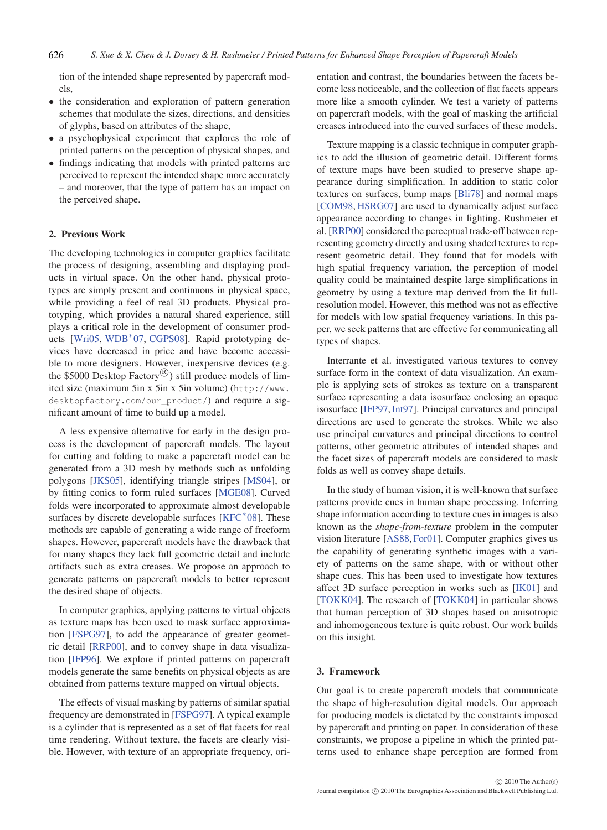tion of the intended shape represented by papercraft models,

- the consideration and exploration of pattern generation schemes that modulate the sizes, directions, and densities of glyphs, based on attributes of the shape,
- a psychophysical experiment that explores the role of printed patterns on the perception of physical shapes, and
- findings indicating that models with printed patterns are perceived to represent the intended shape more accurately – and moreover, that the type of pattern has an impact on the perceived shape.

# **2. Previous Work**

The developing technologies in computer graphics facilitate the process of designing, assembling and displaying products in virtual space. On the other hand, physical prototypes are simply present and continuous in physical space, while providing a feel of real 3D products. Physical prototyping, which provides a natural shared experience, still plays a critical role in the development of consumer products [Wri05, WDB<sup>∗</sup>07, CGPS08]. Rapid prototyping devices have decreased in price and have become accessible to more designers. However, inexpensive devices (e.g. the \$5000 Desktop Factory<sup>®</sup>) still produce models of limited size (maximum 5in x 5in x 5in volume) (http://www. desktopfactory.com/our\_product/) and require a significant amount of time to build up a model.

A less expensive alternative for early in the design process is the development of papercraft models. The layout for cutting and folding to make a papercraft model can be generated from a 3D mesh by methods such as unfolding polygons [JKS05], identifying triangle stripes [MS04], or by fitting conics to form ruled surfaces [MGE08]. Curved folds were incorporated to approximate almost developable surfaces by discrete developable surfaces [KFC<sup>∗</sup>08]. These methods are capable of generating a wide range of freeform shapes. However, papercraft models have the drawback that for many shapes they lack full geometric detail and include artifacts such as extra creases. We propose an approach to generate patterns on papercraft models to better represent the desired shape of objects.

In computer graphics, applying patterns to virtual objects as texture maps has been used to mask surface approximation [FSPG97], to add the appearance of greater geometric detail [RRP00], and to convey shape in data visualization [IFP96]. We explore if printed patterns on papercraft models generate the same benefits on physical objects as are obtained from patterns texture mapped on virtual objects.

The effects of visual masking by patterns of similar spatial frequency are demonstrated in [FSPG97]. A typical example is a cylinder that is represented as a set of flat facets for real time rendering. Without texture, the facets are clearly visible. However, with texture of an appropriate frequency, ori-

entation and contrast, the boundaries between the facets become less noticeable, and the collection of flat facets appears more like a smooth cylinder. We test a variety of patterns on papercraft models, with the goal of masking the artificial creases introduced into the curved surfaces of these models.

Texture mapping is a classic technique in computer graphics to add the illusion of geometric detail. Different forms of texture maps have been studied to preserve shape appearance during simplification. In addition to static color textures on surfaces, bump maps [Bli78] and normal maps [COM98, HSRG07] are used to dynamically adjust surface appearance according to changes in lighting. Rushmeier et al. [RRP00] considered the perceptual trade-off between representing geometry directly and using shaded textures to represent geometric detail. They found that for models with high spatial frequency variation, the perception of model quality could be maintained despite large simplifications in geometry by using a texture map derived from the lit fullresolution model. However, this method was not as effective for models with low spatial frequency variations. In this paper, we seek patterns that are effective for communicating all types of shapes.

Interrante et al. investigated various textures to convey surface form in the context of data visualization. An example is applying sets of strokes as texture on a transparent surface representing a data isosurface enclosing an opaque isosurface [IFP97,Int97]. Principal curvatures and principal directions are used to generate the strokes. While we also use principal curvatures and principal directions to control patterns, other geometric attributes of intended shapes and the facet sizes of papercraft models are considered to mask folds as well as convey shape details.

In the study of human vision, it is well-known that surface patterns provide cues in human shape processing. Inferring shape information according to texture cues in images is also known as the *shape-from-texture* problem in the computer vision literature [AS88, For01]. Computer graphics gives us the capability of generating synthetic images with a variety of patterns on the same shape, with or without other shape cues. This has been used to investigate how textures affect 3D surface perception in works such as [IK01] and [TOKK04]. The research of [TOKK04] in particular shows that human perception of 3D shapes based on anisotropic and inhomogeneous texture is quite robust. Our work builds on this insight.

#### **3. Framework**

Our goal is to create papercraft models that communicate the shape of high-resolution digital models. Our approach for producing models is dictated by the constraints imposed by papercraft and printing on paper. In consideration of these constraints, we propose a pipeline in which the printed patterns used to enhance shape perception are formed from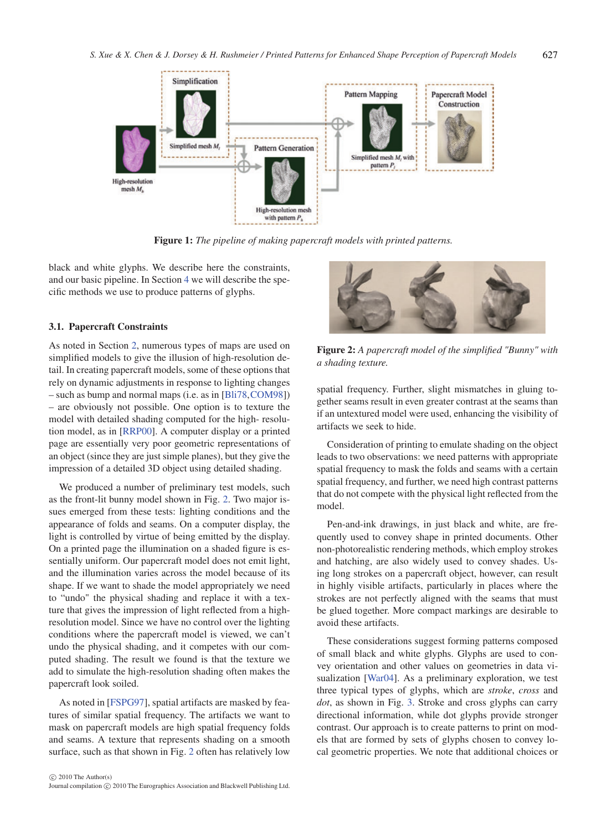

**Figure 1:** *The pipeline of making papercraft models with printed patterns.*

black and white glyphs. We describe here the constraints, and our basic pipeline. In Section 4 we will describe the specific methods we use to produce patterns of glyphs.

### **3.1. Papercraft Constraints**

As noted in Section 2, numerous types of maps are used on simplified models to give the illusion of high-resolution detail. In creating papercraft models, some of these options that rely on dynamic adjustments in response to lighting changes – such as bump and normal maps (i.e. as in [Bli78,COM98]) – are obviously not possible. One option is to texture the model with detailed shading computed for the high- resolution model, as in [RRP00]. A computer display or a printed page are essentially very poor geometric representations of an object (since they are just simple planes), but they give the impression of a detailed 3D object using detailed shading.

We produced a number of preliminary test models, such as the front-lit bunny model shown in Fig. 2. Two major issues emerged from these tests: lighting conditions and the appearance of folds and seams. On a computer display, the light is controlled by virtue of being emitted by the display. On a printed page the illumination on a shaded figure is essentially uniform. Our papercraft model does not emit light, and the illumination varies across the model because of its shape. If we want to shade the model appropriately we need to "undo" the physical shading and replace it with a texture that gives the impression of light reflected from a highresolution model. Since we have no control over the lighting conditions where the papercraft model is viewed, we can't undo the physical shading, and it competes with our computed shading. The result we found is that the texture we add to simulate the high-resolution shading often makes the papercraft look soiled.

As noted in [FSPG97], spatial artifacts are masked by features of similar spatial frequency. The artifacts we want to mask on papercraft models are high spatial frequency folds and seams. A texture that represents shading on a smooth surface, such as that shown in Fig. 2 often has relatively low



**Figure 2:** *A papercraft model of the simplified "Bunny" with a shading texture.*

spatial frequency. Further, slight mismatches in gluing together seams result in even greater contrast at the seams than if an untextured model were used, enhancing the visibility of artifacts we seek to hide.

Consideration of printing to emulate shading on the object leads to two observations: we need patterns with appropriate spatial frequency to mask the folds and seams with a certain spatial frequency, and further, we need high contrast patterns that do not compete with the physical light reflected from the model.

Pen-and-ink drawings, in just black and white, are frequently used to convey shape in printed documents. Other non-photorealistic rendering methods, which employ strokes and hatching, are also widely used to convey shades. Using long strokes on a papercraft object, however, can result in highly visible artifacts, particularly in places where the strokes are not perfectly aligned with the seams that must be glued together. More compact markings are desirable to avoid these artifacts.

These considerations suggest forming patterns composed of small black and white glyphs. Glyphs are used to convey orientation and other values on geometries in data visualization [War04]. As a preliminary exploration, we test three typical types of glyphs, which are *stroke*, *cross* and *dot*, as shown in Fig. 3. Stroke and cross glyphs can carry directional information, while dot glyphs provide stronger contrast. Our approach is to create patterns to print on models that are formed by sets of glyphs chosen to convey local geometric properties. We note that additional choices or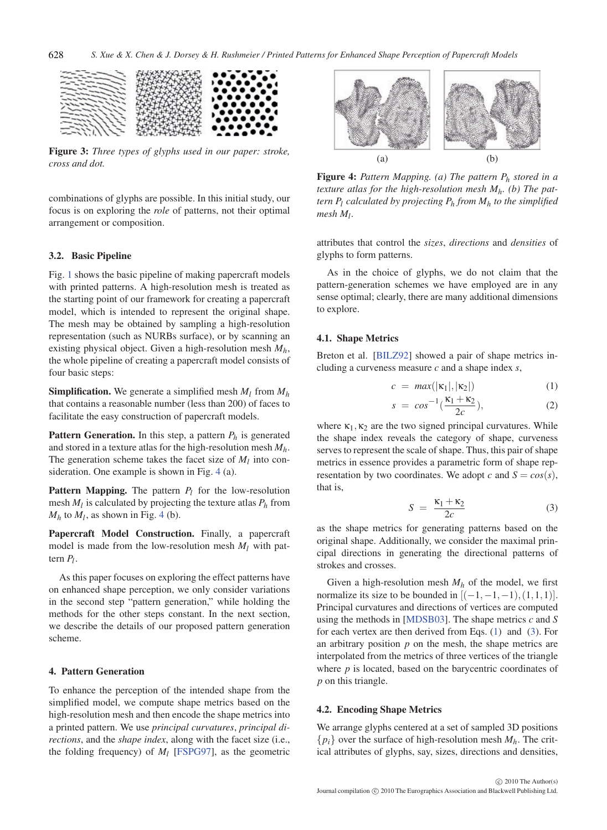

**Figure 3:** *Three types of glyphs used in our paper: stroke, cross and dot.*

combinations of glyphs are possible. In this initial study, our focus is on exploring the *role* of patterns, not their optimal arrangement or composition.

#### **3.2. Basic Pipeline**

Fig. 1 shows the basic pipeline of making papercraft models with printed patterns. A high-resolution mesh is treated as the starting point of our framework for creating a papercraft model, which is intended to represent the original shape. The mesh may be obtained by sampling a high-resolution representation (such as NURBs surface), or by scanning an existing physical object. Given a high-resolution mesh *Mh*, the whole pipeline of creating a papercraft model consists of four basic steps:

**Simplification.** We generate a simplified mesh  $M_l$  from  $M_h$ that contains a reasonable number (less than 200) of faces to facilitate the easy construction of papercraft models.

**Pattern Generation.** In this step, a pattern  $P_h$  is generated and stored in a texture atlas for the high-resolution mesh *Mh*. The generation scheme takes the facet size of  $M_l$  into consideration. One example is shown in Fig. 4 (a).

**Pattern Mapping.** The pattern  $P_l$  for the low-resolution mesh  $M_l$  is calculated by projecting the texture atlas  $P_h$  from  $M_h$  to  $M_l$ , as shown in Fig. 4 (b).

**Papercraft Model Construction.** Finally, a papercraft model is made from the low-resolution mesh  $M_l$  with pattern *Pl*.

As this paper focuses on exploring the effect patterns have on enhanced shape perception, we only consider variations in the second step "pattern generation," while holding the methods for the other steps constant. In the next section, we describe the details of our proposed pattern generation scheme.

#### **4. Pattern Generation**

To enhance the perception of the intended shape from the simplified model, we compute shape metrics based on the high-resolution mesh and then encode the shape metrics into a printed pattern. We use *principal curvatures*, *principal directions*, and the *shape index*, along with the facet size (i.e., the folding frequency) of  $M_l$  [FSPG97], as the geometric



**Figure 4:** *Pattern Mapping. (a) The pattern Ph stored in a texture atlas for the high-resolution mesh Mh. (b) The pattern Pl calculated by projecting Ph from Mh to the simplified mesh Ml.*

attributes that control the *sizes*, *directions* and *densities* of glyphs to form patterns.

As in the choice of glyphs, we do not claim that the pattern-generation schemes we have employed are in any sense optimal; clearly, there are many additional dimensions to explore.

#### **4.1. Shape Metrics**

Breton et al. [BILZ92] showed a pair of shape metrics including a curveness measure *c* and a shape index *s*,

$$
c = \max(|\kappa_1|, |\kappa_2|) \tag{1}
$$

$$
s = \cos^{-1}\left(\frac{\kappa_1 + \kappa_2}{2c}\right),\tag{2}
$$

where  $\kappa_1, \kappa_2$  are the two signed principal curvatures. While the shape index reveals the category of shape, curveness serves to represent the scale of shape. Thus, this pair of shape metrics in essence provides a parametric form of shape representation by two coordinates. We adopt *c* and  $S = cos(s)$ , that is,

$$
S = \frac{\kappa_1 + \kappa_2}{2c} \tag{3}
$$

as the shape metrics for generating patterns based on the original shape. Additionally, we consider the maximal principal directions in generating the directional patterns of strokes and crosses.

Given a high-resolution mesh  $M_h$  of the model, we first normalize its size to be bounded in  $[(-1,-1,-1),(1,1,1)].$ Principal curvatures and directions of vertices are computed using the methods in [MDSB03]. The shape metrics *c* and *S* for each vertex are then derived from Eqs. (1) and (3). For an arbitrary position *p* on the mesh, the shape metrics are interpolated from the metrics of three vertices of the triangle where *p* is located, based on the barycentric coordinates of *p* on this triangle.

#### **4.2. Encoding Shape Metrics**

We arrange glyphs centered at a set of sampled 3D positions  ${p_i}$  over the surface of high-resolution mesh  $M_h$ . The critical attributes of glyphs, say, sizes, directions and densities,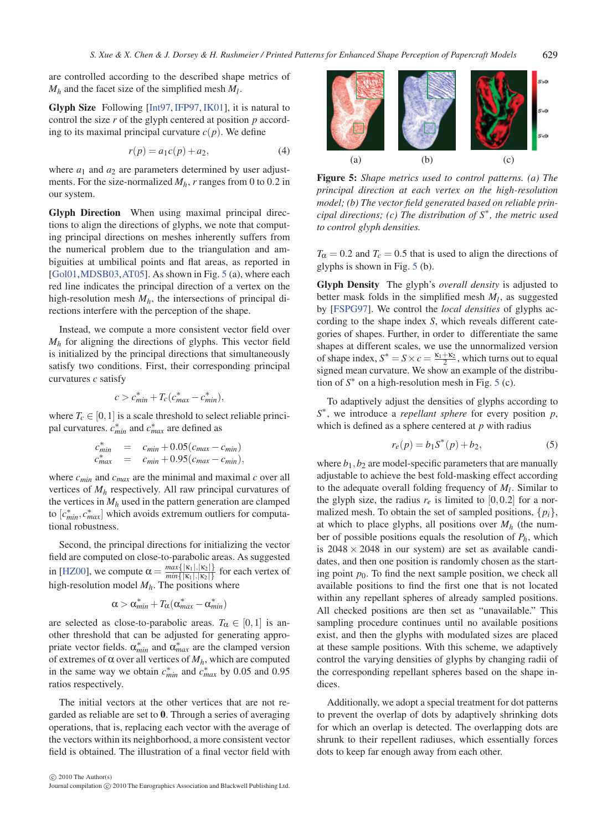are controlled according to the described shape metrics of  $M_h$  and the facet size of the simplified mesh  $M_l$ .

**Glyph Size** Following [Int97,IFP97,IK01], it is natural to control the size *r* of the glyph centered at position *p* according to its maximal principal curvature  $c(p)$ . We define

$$
r(p) = a_1 c(p) + a_2,\tag{4}
$$

where  $a_1$  and  $a_2$  are parameters determined by user adjustments. For the size-normalized  $M_h$ ,  $r$  ranges from 0 to 0.2 in our system.

**Glyph Direction** When using maximal principal directions to align the directions of glyphs, we note that computing principal directions on meshes inherently suffers from the numerical problem due to the triangulation and ambiguities at umbilical points and flat areas, as reported in [Gol01, MDSB03, AT05]. As shown in Fig. 5 (a), where each red line indicates the principal direction of a vertex on the high-resolution mesh  $M_h$ , the intersections of principal directions interfere with the perception of the shape.

Instead, we compute a more consistent vector field over *Mh* for aligning the directions of glyphs. This vector field is initialized by the principal directions that simultaneously satisfy two conditions. First, their corresponding principal curvatures *c* satisfy

$$
c > c_{min}^* + T_c(c_{max}^* - c_{min}^*),
$$

where  $T_c \in [0,1]$  is a scale threshold to select reliable principal curvatures.  $c_{min}^*$  and  $c_{max}^*$  are defined as

$$
c_{min}^* = c_{min} + 0.05(c_{max} - c_{min})
$$
  
\n
$$
c_{max}^* = c_{min} + 0.95(c_{max} - c_{min}),
$$

where *cmin* and *cmax* are the minimal and maximal *c* over all vertices of *Mh* respectively. All raw principal curvatures of the vertices in  $M_h$  used in the pattern generation are clamped to  $[c<sub>min</sub><sup>*</sup>, c<sub>max</sub><sup>*</sup>]$  which avoids extremum outliers for computational robustness.

Second, the principal directions for initializing the vector field are computed on close-to-parabolic areas. As suggested in [HZ00], we compute  $\alpha = \frac{max\{|\kappa_1|, |\kappa_2|\}}{min\{|\kappa_1|, |\kappa_2|\}}$  for each vertex of high-resolution model  $M_h$ . The positions where

$$
\alpha > \alpha^*_{min} + T_\alpha(\alpha^*_{max} - \alpha^*_{min})
$$

are selected as close-to-parabolic areas.  $T_{\alpha} \in [0,1]$  is another threshold that can be adjusted for generating appropriate vector fields.  $\alpha_{min}^*$  and  $\alpha_{max}^*$  are the clamped version of extremes of α over all vertices of *Mh*, which are computed in the same way we obtain  $c_{min}^*$  and  $c_{max}^*$  by 0.05 and 0.95 ratios respectively.

The initial vectors at the other vertices that are not regarded as reliable are set to **0**. Through a series of averaging operations, that is, replacing each vector with the average of the vectors within its neighborhood, a more consistent vector field is obtained. The illustration of a final vector field with



**Figure 5:** *Shape metrics used to control patterns. (a) The principal direction at each vertex on the high-resolution model; (b) The vector field generated based on reliable principal directions; (c) The distribution of S*∗*, the metric used to control glyph densities.*

 $T_{\alpha} = 0.2$  and  $T_c = 0.5$  that is used to align the directions of glyphs is shown in Fig. 5 (b).

**Glyph Density** The glyph's *overall density* is adjusted to better mask folds in the simplified mesh  $M_l$ , as suggested by [FSPG97]. We control the *local densities* of glyphs according to the shape index *S*, which reveals different categories of shapes. Further, in order to differentiate the same shapes at different scales, we use the unnormalized version of shape index,  $S^* = S \times c = \frac{\kappa_1 + \kappa_2}{2}$ , which turns out to equal signed mean curvature. We show an example of the distribution of *S*<sup>∗</sup> on a high-resolution mesh in Fig. 5 (c).

To adaptively adjust the densities of glyphs according to *S*∗, we introduce a *repellant sphere* for every position *p*, which is defined as a sphere centered at *p* with radius

$$
r_e(p) = b_1 S^*(p) + b_2,
$$
 (5)

where  $b_1$ ,  $b_2$  are model-specific parameters that are manually adjustable to achieve the best fold-masking effect according to the adequate overall folding frequency of  $M_l$ . Similar to the glyph size, the radius  $r_e$  is limited to [0,0.2] for a normalized mesh. To obtain the set of sampled positions,  $\{p_i\}$ , at which to place glyphs, all positions over  $M_h$  (the number of possible positions equals the resolution of  $P_h$ , which is  $2048 \times 2048$  in our system) are set as available candidates, and then one position is randomly chosen as the starting point  $p_0$ . To find the next sample position, we check all available positions to find the first one that is not located within any repellant spheres of already sampled positions. All checked positions are then set as "unavailable." This sampling procedure continues until no available positions exist, and then the glyphs with modulated sizes are placed at these sample positions. With this scheme, we adaptively control the varying densities of glyphs by changing radii of the corresponding repellant spheres based on the shape indices.

Additionally, we adopt a special treatment for dot patterns to prevent the overlap of dots by adaptively shrinking dots for which an overlap is detected. The overlapping dots are shrunk to their repellent radiuses, which essentially forces dots to keep far enough away from each other.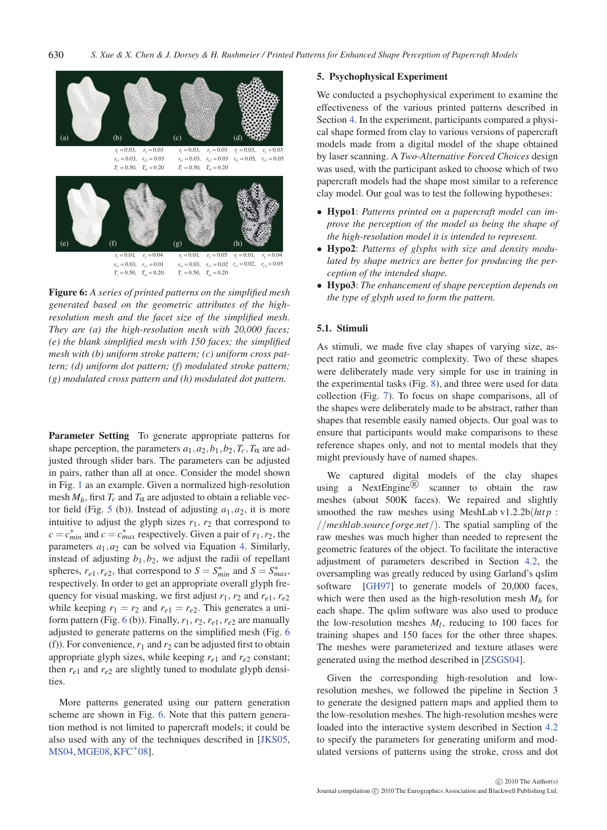

**Figure 6:** *A series of printed patterns on the simplified mesh generated based on the geometric attributes of the highresolution mesh and the facet size of the simplified mesh. They are (a) the high-resolution mesh with 20,000 faces; (e) the blank simplified mesh with 150 faces; the simplified mesh with (b) uniform stroke pattern; (c) uniform cross pattern; (d) uniform dot pattern; (f) modulated stroke pattern; (g) modulated cross pattern and (h) modulated dot pattern.*

**Parameter Setting** To generate appropriate patterns for shape perception, the parameters  $a_1$ ,  $a_2$ ,  $b_1$ ,  $b_2$ ,  $T_c$ ,  $T_\alpha$  are adjusted through slider bars. The parameters can be adjusted in pairs, rather than all at once. Consider the model shown in Fig. 1 as an example. Given a normalized high-resolution mesh  $M_h$ , first  $T_c$  and  $T_\alpha$  are adjusted to obtain a reliable vector field (Fig. 5 (b)). Instead of adjusting  $a_1, a_2$ , it is more intuitive to adjust the glyph sizes  $r_1$ ,  $r_2$  that correspond to  $c = c^*_{\text{min}}$  and  $c = c^*_{\text{max}}$  respectively. Given a pair of  $r_1, r_2$ , the parameters  $a_1$ ,  $a_2$  can be solved via Equation 4. Similarly, instead of adjusting  $b_1$ ,  $b_2$ , we adjust the radii of repellant spheres,  $r_{e1}$ ,  $r_{e2}$ , that correspond to  $S = S^*_{min}$  and  $S = S^*_{max}$ , respectively. In order to get an appropriate overall glyph frequency for visual masking, we first adjust  $r_1$ ,  $r_2$  and  $r_{e1}$ ,  $r_{e2}$ while keeping  $r_1 = r_2$  and  $r_{e1} = r_{e2}$ . This generates a uniform pattern (Fig. 6 (b)). Finally,  $r_1$ ,  $r_2$ ,  $r_{e1}$ ,  $r_{e2}$  are manually adjusted to generate patterns on the simplified mesh (Fig. 6 (f)). For convenience,  $r_1$  and  $r_2$  can be adjusted first to obtain appropriate glyph sizes, while keeping  $r_{e1}$  and  $r_{e2}$  constant; then  $r_{e1}$  and  $r_{e2}$  are slightly tuned to modulate glyph densities.

More patterns generated using our pattern generation scheme are shown in Fig. 6. Note that this pattern generation method is not limited to papercraft models; it could be also used with any of the techniques described in [JKS05, MS04,MGE08,KFC∗08].

### **5. Psychophysical Experiment**

We conducted a psychophysical experiment to examine the effectiveness of the various printed patterns described in Section 4. In the experiment, participants compared a physical shape formed from clay to various versions of papercraft models made from a digital model of the shape obtained by laser scanning. A *Two-Alternative Forced Choices* design was used, with the participant asked to choose which of two papercraft models had the shape most similar to a reference clay model. Our goal was to test the following hypotheses:

- **Hypo1**: *Patterns printed on a papercraft model can improve the perception of the model as being the shape of the high-resolution model it is intended to represent.*
- **Hypo2**: *Patterns of glyphs with size and density modulated by shape metrics are better for producing the perception of the intended shape.*
- **Hypo3**: *The enhancement of shape perception depends on the type of glyph used to form the pattern.*

# **5.1. Stimuli**

As stimuli, we made five clay shapes of varying size, aspect ratio and geometric complexity. Two of these shapes were deliberately made very simple for use in training in the experimental tasks (Fig. 8), and three were used for data collection (Fig. 7). To focus on shape comparisons, all of the shapes were deliberately made to be abstract, rather than shapes that resemble easily named objects. Our goal was to ensure that participants would make comparisons to these reference shapes only, and not to mental models that they might previously have of named shapes.

We captured digital models of the clay shapes using a NextEngine $\mathcal{R}$  scanner to obtain the raw meshes (about 500K faces). We repaired and slightly smoothed the raw meshes using MeshLab v1.2.2b(*http*: //*meshlab*.*source f orge*.*net*/). The spatial sampling of the raw meshes was much higher than needed to represent the geometric features of the object. To facilitate the interactive adjustment of parameters described in Section 4.2, the oversampling was greatly reduced by using Garland's qslim software [GH97] to generate models of 20,000 faces, which were then used as the high-resolution mesh  $M_h$  for each shape. The qslim software was also used to produce the low-resolution meshes  $M_l$ , reducing to 100 faces for training shapes and 150 faces for the other three shapes. The meshes were parameterized and texture atlases were generated using the method described in [ZSGS04].

Given the corresponding high-resolution and lowresolution meshes, we followed the pipeline in Section 3 to generate the designed pattern maps and applied them to the low-resolution meshes. The high-resolution meshes were loaded into the interactive system described in Section 4.2 to specify the parameters for generating uniform and modulated versions of patterns using the stroke, cross and dot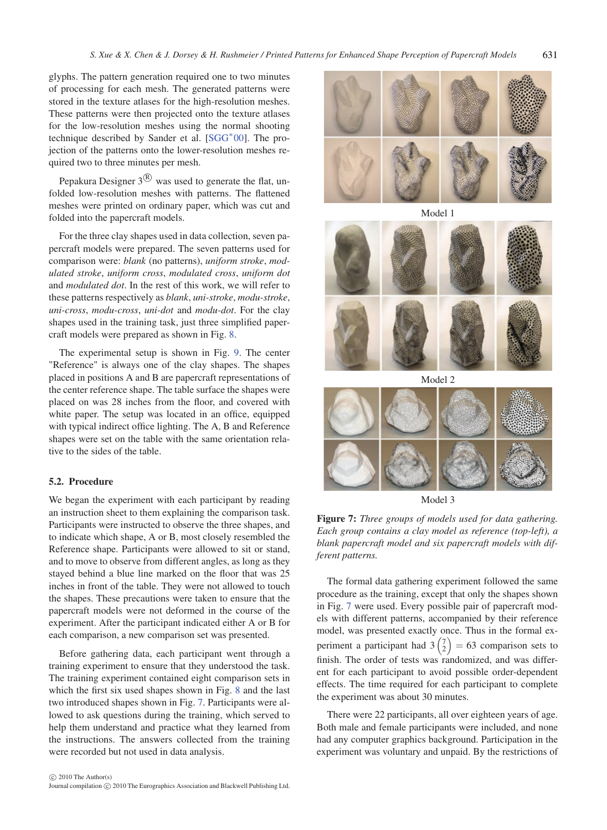glyphs. The pattern generation required one to two minutes of processing for each mesh. The generated patterns were stored in the texture atlases for the high-resolution meshes. These patterns were then projected onto the texture atlases for the low-resolution meshes using the normal shooting technique described by Sander et al. [SGG<sup>∗</sup>00]. The projection of the patterns onto the lower-resolution meshes required two to three minutes per mesh.

Pepakura Designer  $3^{\circledR}$  was used to generate the flat, unfolded low-resolution meshes with patterns. The flattened meshes were printed on ordinary paper, which was cut and folded into the papercraft models.

For the three clay shapes used in data collection, seven papercraft models were prepared. The seven patterns used for comparison were: *blank* (no patterns), *uniform stroke*, *modulated stroke*, *uniform cross*, *modulated cross*, *uniform dot* and *modulated dot*. In the rest of this work, we will refer to these patterns respectively as *blank*, *uni-stroke*, *modu-stroke*, *uni-cross*, *modu-cross*, *uni-dot* and *modu-dot*. For the clay shapes used in the training task, just three simplified papercraft models were prepared as shown in Fig. 8.

The experimental setup is shown in Fig. 9. The center "Reference" is always one of the clay shapes. The shapes placed in positions A and B are papercraft representations of the center reference shape. The table surface the shapes were placed on was 28 inches from the floor, and covered with white paper. The setup was located in an office, equipped with typical indirect office lighting. The A, B and Reference shapes were set on the table with the same orientation relative to the sides of the table.

# **5.2. Procedure**

We began the experiment with each participant by reading an instruction sheet to them explaining the comparison task. Participants were instructed to observe the three shapes, and to indicate which shape, A or B, most closely resembled the Reference shape. Participants were allowed to sit or stand, and to move to observe from different angles, as long as they stayed behind a blue line marked on the floor that was 25 inches in front of the table. They were not allowed to touch the shapes. These precautions were taken to ensure that the papercraft models were not deformed in the course of the experiment. After the participant indicated either A or B for each comparison, a new comparison set was presented.

Before gathering data, each participant went through a training experiment to ensure that they understood the task. The training experiment contained eight comparison sets in which the first six used shapes shown in Fig. 8 and the last two introduced shapes shown in Fig. 7. Participants were allowed to ask questions during the training, which served to help them understand and practice what they learned from the instructions. The answers collected from the training were recorded but not used in data analysis.





**Figure 7:** *Three groups of models used for data gathering. Each group contains a clay model as reference (top-left), a blank papercraft model and six papercraft models with different patterns.*

The formal data gathering experiment followed the same procedure as the training, except that only the shapes shown in Fig. 7 were used. Every possible pair of papercraft models with different patterns, accompanied by their reference model, was presented exactly once. Thus in the formal experiment a participant had  $3\binom{7}{2} = 63$  comparison sets to finish. The order of tests was randomized, and was different for each participant to avoid possible order-dependent effects. The time required for each participant to complete the experiment was about 30 minutes.

There were 22 participants, all over eighteen years of age. Both male and female participants were included, and none had any computer graphics background. Participation in the experiment was voluntary and unpaid. By the restrictions of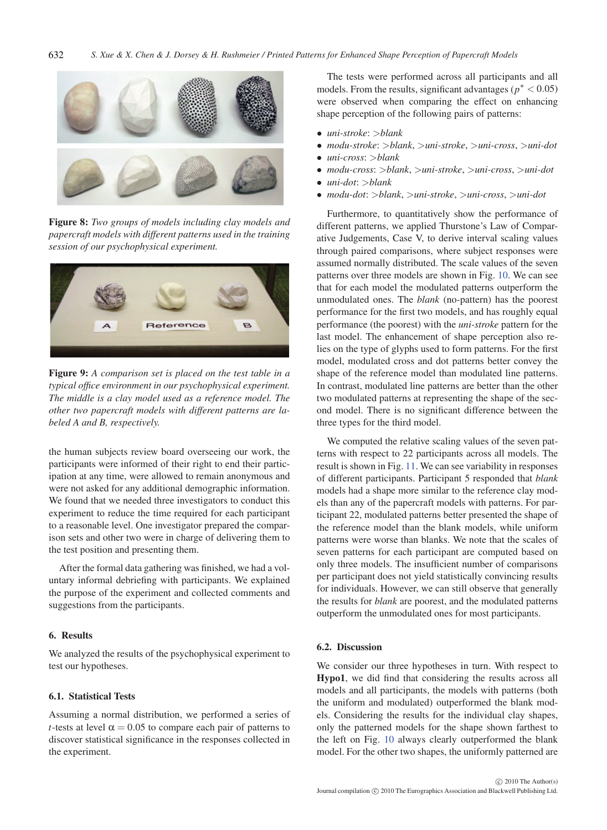

**Figure 8:** *Two groups of models including clay models and papercraft models with different patterns used in the training session of our psychophysical experiment.*



**Figure 9:** *A comparison set is placed on the test table in a typical office environment in our psychophysical experiment. The middle is a clay model used as a reference model. The other two papercraft models with different patterns are labeled A and B, respectively.*

the human subjects review board overseeing our work, the participants were informed of their right to end their participation at any time, were allowed to remain anonymous and were not asked for any additional demographic information. We found that we needed three investigators to conduct this experiment to reduce the time required for each participant to a reasonable level. One investigator prepared the comparison sets and other two were in charge of delivering them to the test position and presenting them.

After the formal data gathering was finished, we had a voluntary informal debriefing with participants. We explained the purpose of the experiment and collected comments and suggestions from the participants.

## **6. Results**

We analyzed the results of the psychophysical experiment to test our hypotheses.

# **6.1. Statistical Tests**

Assuming a normal distribution, we performed a series of *t*-tests at level  $\alpha = 0.05$  to compare each pair of patterns to discover statistical significance in the responses collected in the experiment.

The tests were performed across all participants and all models. From the results, significant advantages ( $p^*$  < 0.05) were observed when comparing the effect on enhancing shape perception of the following pairs of patterns:

- *uni-stroke*: >*blank*
- *modu-stroke*: >*blank*, >*uni-stroke*, >*uni-cross*, >*uni-dot*
- *uni-cross*: >*blank*
- *modu-cross*: >*blank*, >*uni-stroke*, >*uni-cross*, >*uni-dot*
- *uni-dot*: >*blank*
- *modu-dot*: >*blank*, >*uni-stroke*, >*uni-cross*, >*uni-dot*

Furthermore, to quantitatively show the performance of different patterns, we applied Thurstone's Law of Comparative Judgements, Case V, to derive interval scaling values through paired comparisons, where subject responses were assumed normally distributed. The scale values of the seven patterns over three models are shown in Fig. 10. We can see that for each model the modulated patterns outperform the unmodulated ones. The *blank* (no-pattern) has the poorest performance for the first two models, and has roughly equal performance (the poorest) with the *uni-stroke* pattern for the last model. The enhancement of shape perception also relies on the type of glyphs used to form patterns. For the first model, modulated cross and dot patterns better convey the shape of the reference model than modulated line patterns. In contrast, modulated line patterns are better than the other two modulated patterns at representing the shape of the second model. There is no significant difference between the three types for the third model.

We computed the relative scaling values of the seven patterns with respect to 22 participants across all models. The result is shown in Fig. 11. We can see variability in responses of different participants. Participant 5 responded that *blank* models had a shape more similar to the reference clay models than any of the papercraft models with patterns. For participant 22, modulated patterns better presented the shape of the reference model than the blank models, while uniform patterns were worse than blanks. We note that the scales of seven patterns for each participant are computed based on only three models. The insufficient number of comparisons per participant does not yield statistically convincing results for individuals. However, we can still observe that generally the results for *blank* are poorest, and the modulated patterns outperform the unmodulated ones for most participants.

#### **6.2. Discussion**

We consider our three hypotheses in turn. With respect to **Hypo1**, we did find that considering the results across all models and all participants, the models with patterns (both the uniform and modulated) outperformed the blank models. Considering the results for the individual clay shapes, only the patterned models for the shape shown farthest to the left on Fig. 10 always clearly outperformed the blank model. For the other two shapes, the uniformly patterned are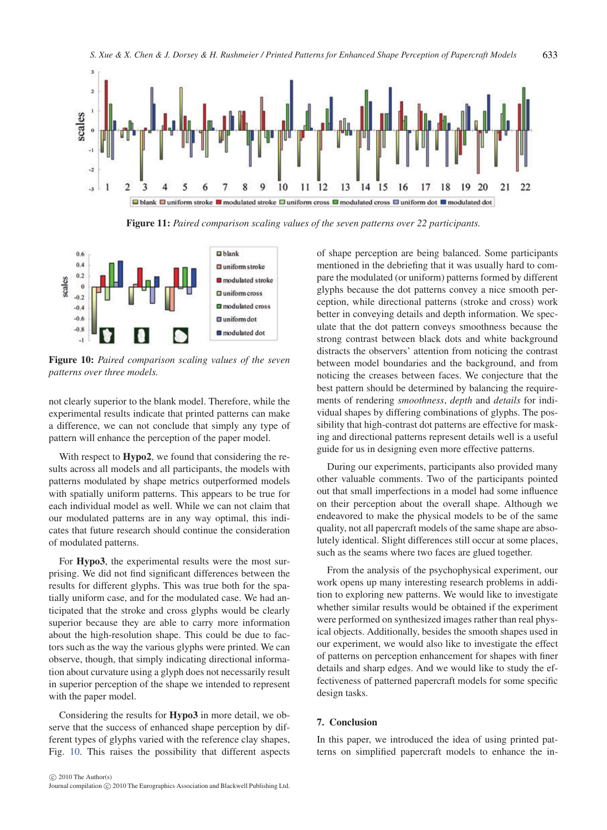

**Figure 11:** *Paired comparison scaling values of the seven patterns over 22 participants.*



**Figure 10:** *Paired comparison scaling values of the seven patterns over three models.*

not clearly superior to the blank model. Therefore, while the experimental results indicate that printed patterns can make a difference, we can not conclude that simply any type of pattern will enhance the perception of the paper model.

With respect to **Hypo2**, we found that considering the results across all models and all participants, the models with patterns modulated by shape metrics outperformed models with spatially uniform patterns. This appears to be true for each individual model as well. While we can not claim that our modulated patterns are in any way optimal, this indicates that future research should continue the consideration of modulated patterns.

For **Hypo3**, the experimental results were the most surprising. We did not find significant differences between the results for different glyphs. This was true both for the spatially uniform case, and for the modulated case. We had anticipated that the stroke and cross glyphs would be clearly superior because they are able to carry more information about the high-resolution shape. This could be due to factors such as the way the various glyphs were printed. We can observe, though, that simply indicating directional information about curvature using a glyph does not necessarily result in superior perception of the shape we intended to represent with the paper model.

Considering the results for **Hypo3** in more detail, we observe that the success of enhanced shape perception by different types of glyphs varied with the reference clay shapes, Fig. 10. This raises the possibility that different aspects of shape perception are being balanced. Some participants mentioned in the debriefing that it was usually hard to compare the modulated (or uniform) patterns formed by different glyphs because the dot patterns convey a nice smooth perception, while directional patterns (stroke and cross) work better in conveying details and depth information. We speculate that the dot pattern conveys smoothness because the strong contrast between black dots and white background distracts the observers' attention from noticing the contrast between model boundaries and the background, and from noticing the creases between faces. We conjecture that the best pattern should be determined by balancing the requirements of rendering *smoothness*, *depth* and *details* for individual shapes by differing combinations of glyphs. The possibility that high-contrast dot patterns are effective for masking and directional patterns represent details well is a useful guide for us in designing even more effective patterns.

During our experiments, participants also provided many other valuable comments. Two of the participants pointed out that small imperfections in a model had some influence on their perception about the overall shape. Although we endeavored to make the physical models to be of the same quality, not all papercraft models of the same shape are absolutely identical. Slight differences still occur at some places, such as the seams where two faces are glued together.

From the analysis of the psychophysical experiment, our work opens up many interesting research problems in addition to exploring new patterns. We would like to investigate whether similar results would be obtained if the experiment were performed on synthesized images rather than real physical objects. Additionally, besides the smooth shapes used in our experiment, we would also like to investigate the effect of patterns on perception enhancement for shapes with finer details and sharp edges. And we would like to study the effectiveness of patterned papercraft models for some specific design tasks.

# **7. Conclusion**

In this paper, we introduced the idea of using printed patterns on simplified papercraft models to enhance the in